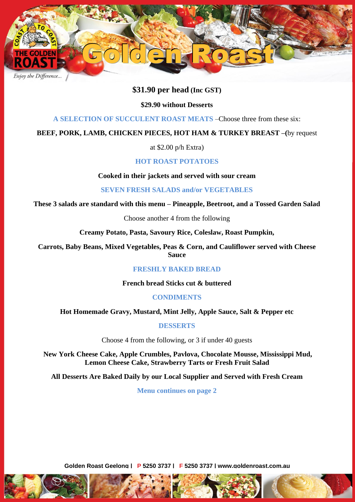

# \$31.90 per head (Inc GST)<br>\$29.90 without Desserts

## **\$29.90 without Desserts**

**A SELECTION OF SUCCULENT ROAST MEATS** –Choose three from these six:

## **BEEF, PORK, LAMB, CHICKEN PIECES, HOT HAM & TURKEY BREAST –(**by request

at \$2.00 p/h Extra)

# **HOT ROAST POTATOES**

**Cooked in their jackets and served with sour cream**

**SEVEN FRESH SALADS and/or VEGETABLES**

**These 3 salads are standard with this menu – Pineapple, Beetroot, and a Tossed Garden Salad**

Choose another 4 from the following

**Creamy Potato, Pasta, Savoury Rice, Coleslaw, Roast Pumpkin,**

**Carrots, Baby Beans, Mixed Vegetables, Peas & Corn, and Cauliflower served with Cheese Sauce**

## **FRESHLY BAKED BREAD**

**French bread Sticks cut & buttered** 

**CONDIMENTS**

**Hot Homemade Gravy, Mustard, Mint Jelly, Apple Sauce, Salt & Pepper etc**

**DESSERTS**

Choose 4 from the following, or 3 if under 40 guests

**New York Cheese Cake, Apple Crumbles, Pavlova, Chocolate Mousse, Mississippi Mud, Lemon Cheese Cake, Strawberry Tarts or Fresh Fruit Salad**

**All Desserts Are Baked Daily by our Local Supplier and Served with Fresh Cream**

**Menu continues on page 2**

**Golden Roast Geelong | P 5250 3737 | F 5250 3737 | www.goldenroast.com.au**